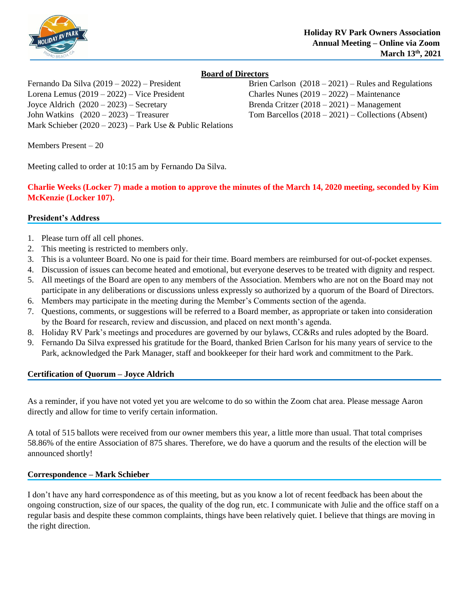

# **Board of Directors**

Lorena Lemus (2019 – 2022) – Vice President Charles Nunes (2019 – 2022) – Maintenance Joyce Aldrich (2020 – 2023) – Secretary Brenda Critzer (2018 – 2021) – Management John Watkins (2020 – 2023) – Treasurer Tom Barcellos (2018 – 2021) – Collections (Absent) Mark Schieber (2020 – 2023) – Park Use & Public Relations

Fernando Da Silva (2019 – 2022) – President Brien Carlson (2018 – 2021) – Rules and Regulations

Members Present – 20

Meeting called to order at 10:15 am by Fernando Da Silva.

**Charlie Weeks (Locker 7) made a motion to approve the minutes of the March 14, 2020 meeting, seconded by Kim McKenzie (Locker 107).**

## **President's Address**

- 1. Please turn off all cell phones.
- 2. This meeting is restricted to members only.
- 3. This is a volunteer Board. No one is paid for their time. Board members are reimbursed for out-of-pocket expenses.
- 4. Discussion of issues can become heated and emotional, but everyone deserves to be treated with dignity and respect.
- 5. All meetings of the Board are open to any members of the Association. Members who are not on the Board may not participate in any deliberations or discussions unless expressly so authorized by a quorum of the Board of Directors.
- 6. Members may participate in the meeting during the Member's Comments section of the agenda.
- 7. Questions, comments, or suggestions will be referred to a Board member, as appropriate or taken into consideration by the Board for research, review and discussion, and placed on next month's agenda.
- 8. Holiday RV Park's meetings and procedures are governed by our bylaws, CC&Rs and rules adopted by the Board.
- 9. Fernando Da Silva expressed his gratitude for the Board, thanked Brien Carlson for his many years of service to the Park, acknowledged the Park Manager, staff and bookkeeper for their hard work and commitment to the Park.

## **Certification of Quorum – Joyce Aldrich**

As a reminder, if you have not voted yet you are welcome to do so within the Zoom chat area. Please message Aaron directly and allow for time to verify certain information.

A total of 515 ballots were received from our owner members this year, a little more than usual. That total comprises 58.86% of the entire Association of 875 shares. Therefore, we do have a quorum and the results of the election will be announced shortly!

## **Correspondence – Mark Schieber**

I don't have any hard correspondence as of this meeting, but as you know a lot of recent feedback has been about the ongoing construction, size of our spaces, the quality of the dog run, etc. I communicate with Julie and the office staff on a regular basis and despite these common complaints, things have been relatively quiet. I believe that things are moving in the right direction.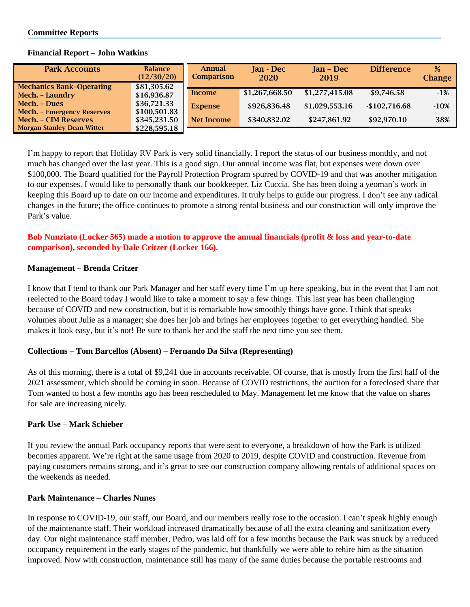| <b>Park Accounts</b>              | <b>Balance</b><br>(12/30/20) | <b>Annual</b><br><b>Comparison</b> | <b>Ian</b> - Dec<br><b>2020</b> | $Jan - Dec$<br>2019 | <b>Difference</b> | %<br><b>Change</b> |
|-----------------------------------|------------------------------|------------------------------------|---------------------------------|---------------------|-------------------|--------------------|
| <b>Mechanics Bank-Operating</b>   | \$81,305.62                  |                                    |                                 |                     |                   |                    |
| Mech. - Laundry                   | \$16,936.87                  | Income                             | \$1,267,668.50                  | \$1,277,415.08      | $-$ \$9,746.58    | $-1\%$             |
| Mech. - Dues                      | \$36,721.33                  | <b>Expense</b>                     | \$926,836.48                    | \$1,029,553.16      | $-$102,716.68$    | $-10%$             |
| <b>Mech.</b> - Emergency Reserves | \$100,501.83                 |                                    |                                 |                     |                   |                    |
| <b>Mech. - CIM Reserves</b>       | \$345,231.50                 | Net Income                         | \$340,832.02                    | \$247,861.92        | \$92,970.10       | 38%                |
| <b>Morgan Stanley Dean Witter</b> | \$228,595.18                 |                                    |                                 |                     |                   |                    |

#### **Financial Report – John Watkins**

I'm happy to report that Holiday RV Park is very solid financially. I report the status of our business monthly, and not much has changed over the last year. This is a good sign. Our annual income was flat, but expenses were down over \$100,000. The Board qualified for the Payroll Protection Program spurred by COVID-19 and that was another mitigation to our expenses. I would like to personally thank our bookkeeper, Liz Cuccia. She has been doing a yeoman's work in keeping this Board up to date on our income and expenditures. It truly helps to guide our progress. I don't see any radical changes in the future; the office continues to promote a strong rental business and our construction will only improve the Park's value.

# **Bob Nunziato (Locker 565) made a motion to approve the annual financials (profit & loss and year-to-date comparison), seconded by Dale Critzer (Locker 166).**

## **Management – Brenda Critzer**

I know that I tend to thank our Park Manager and her staff every time I'm up here speaking, but in the event that I am not reelected to the Board today I would like to take a moment to say a few things. This last year has been challenging because of COVID and new construction, but it is remarkable how smoothly things have gone. I think that speaks volumes about Julie as a manager; she does her job and brings her employees together to get everything handled. She makes it look easy, but it's not! Be sure to thank her and the staff the next time you see them.

## **Collections – Tom Barcellos (Absent) – Fernando Da Silva (Representing)**

As of this morning, there is a total of \$9,241 due in accounts receivable. Of course, that is mostly from the first half of the 2021 assessment, which should be coming in soon. Because of COVID restrictions, the auction for a foreclosed share that Tom wanted to host a few months ago has been rescheduled to May. Management let me know that the value on shares for sale are increasing nicely.

## **Park Use – Mark Schieber**

If you review the annual Park occupancy reports that were sent to everyone, a breakdown of how the Park is utilized becomes apparent. We're right at the same usage from 2020 to 2019, despite COVID and construction. Revenue from paying customers remains strong, and it's great to see our construction company allowing rentals of additional spaces on the weekends as needed.

## **Park Maintenance – Charles Nunes**

In response to COVID-19, our staff, our Board, and our members really rose to the occasion. I can't speak highly enough of the maintenance staff. Their workload increased dramatically because of all the extra cleaning and sanitization every day. Our night maintenance staff member, Pedro, was laid off for a few months because the Park was struck by a reduced occupancy requirement in the early stages of the pandemic, but thankfully we were able to rehire him as the situation improved. Now with construction, maintenance still has many of the same duties because the portable restrooms and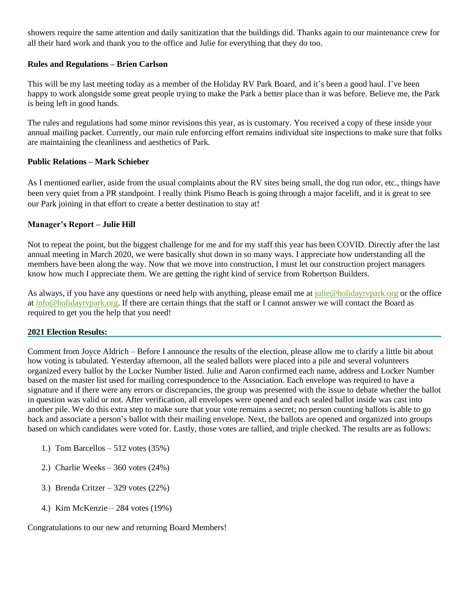showers require the same attention and daily sanitization that the buildings did. Thanks again to our maintenance crew for all their hard work and thank you to the office and Julie for everything that they do too.

## **Rules and Regulations – Brien Carlson**

This will be my last meeting today as a member of the Holiday RV Park Board, and it's been a good haul. I've been happy to work alongside some great people trying to make the Park a better place than it was before. Believe me, the Park is being left in good hands.

The rules and regulations had some minor revisions this year, as is customary. You received a copy of these inside your annual mailing packet. Currently, our main rule enforcing effort remains individual site inspections to make sure that folks are maintaining the cleanliness and aesthetics of Park.

## **Public Relations – Mark Schieber**

As I mentioned earlier, aside from the usual complaints about the RV sites being small, the dog run odor, etc., things have been very quiet from a PR standpoint. I really think Pismo Beach is going through a major facelift, and it is great to see our Park joining in that effort to create a better destination to stay at!

#### **Manager's Report – Julie Hill**

Not to repeat the point, but the biggest challenge for me and for my staff this year has been COVID. Directly after the last annual meeting in March 2020, we were basically shut down in so many ways. I appreciate how understanding all the members have been along the way. Now that we move into construction, I must let our construction project managers know how much I appreciate them. We are getting the right kind of service from Robertson Builders.

As always, if you have any questions or need help with anything, please email me at [julie@holidayrvpark.org](mailto:julie@holidayrvpark.org) or the office at [info@holidayrvpark.org.](mailto:info@holidayrvpark.org) If there are certain things that the staff or I cannot answer we will contact the Board as required to get you the help that you need!

#### **2021 Election Results:**

Comment from Joyce Aldrich – Before I announce the results of the election, please allow me to clarify a little bit about how voting is tabulated. Yesterday afternoon, all the sealed ballots were placed into a pile and several volunteers organized every ballot by the Locker Number listed. Julie and Aaron confirmed each name, address and Locker Number based on the master list used for mailing correspondence to the Association. Each envelope was required to have a signature and if there were any errors or discrepancies, the group was presented with the issue to debate whether the ballot in question was valid or not. After verification, all envelopes were opened and each sealed ballot inside was cast into another pile. We do this extra step to make sure that your vote remains a secret; no person counting ballots is able to go back and associate a person's ballot with their mailing envelope. Next, the ballots are opened and organized into groups based on which candidates were voted for. Lastly, those votes are tallied, and triple checked. The results are as follows:

- 1.) Tom Barcellos 512 votes (35%)
- 2.) Charlie Weeks 360 votes (24%)
- 3.) Brenda Critzer 329 votes (22%)
- 4.) Kim McKenzie 284 votes (19%)

Congratulations to our new and returning Board Members!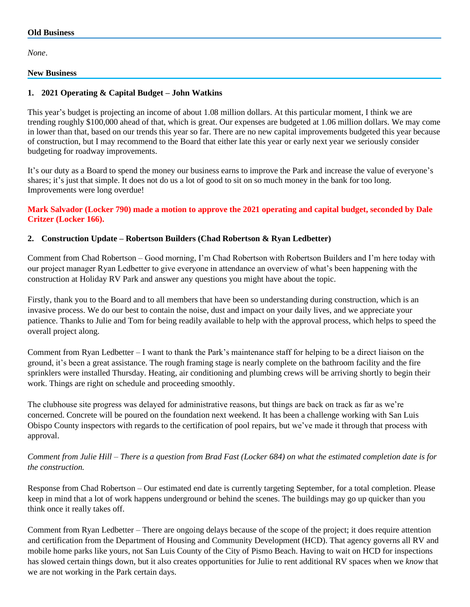*None*.

## **New Business**

# **1. 2021 Operating & Capital Budget – John Watkins**

This year's budget is projecting an income of about 1.08 million dollars. At this particular moment, I think we are trending roughly \$100,000 ahead of that, which is great. Our expenses are budgeted at 1.06 million dollars. We may come in lower than that, based on our trends this year so far. There are no new capital improvements budgeted this year because of construction, but I may recommend to the Board that either late this year or early next year we seriously consider budgeting for roadway improvements.

It's our duty as a Board to spend the money our business earns to improve the Park and increase the value of everyone's shares; it's just that simple. It does not do us a lot of good to sit on so much money in the bank for too long. Improvements were long overdue!

## **Mark Salvador (Locker 790) made a motion to approve the 2021 operating and capital budget, seconded by Dale Critzer (Locker 166).**

## **2. Construction Update – Robertson Builders (Chad Robertson & Ryan Ledbetter)**

Comment from Chad Robertson – Good morning, I'm Chad Robertson with Robertson Builders and I'm here today with our project manager Ryan Ledbetter to give everyone in attendance an overview of what's been happening with the construction at Holiday RV Park and answer any questions you might have about the topic.

Firstly, thank you to the Board and to all members that have been so understanding during construction, which is an invasive process. We do our best to contain the noise, dust and impact on your daily lives, and we appreciate your patience. Thanks to Julie and Tom for being readily available to help with the approval process, which helps to speed the overall project along.

Comment from Ryan Ledbetter – I want to thank the Park's maintenance staff for helping to be a direct liaison on the ground, it's been a great assistance. The rough framing stage is nearly complete on the bathroom facility and the fire sprinklers were installed Thursday. Heating, air conditioning and plumbing crews will be arriving shortly to begin their work. Things are right on schedule and proceeding smoothly.

The clubhouse site progress was delayed for administrative reasons, but things are back on track as far as we're concerned. Concrete will be poured on the foundation next weekend. It has been a challenge working with San Luis Obispo County inspectors with regards to the certification of pool repairs, but we've made it through that process with approval.

# *Comment from Julie Hill – There is a question from Brad Fast (Locker 684) on what the estimated completion date is for the construction.*

Response from Chad Robertson – Our estimated end date is currently targeting September, for a total completion. Please keep in mind that a lot of work happens underground or behind the scenes. The buildings may go up quicker than you think once it really takes off.

Comment from Ryan Ledbetter – There are ongoing delays because of the scope of the project; it does require attention and certification from the Department of Housing and Community Development (HCD). That agency governs all RV and mobile home parks like yours, not San Luis County of the City of Pismo Beach. Having to wait on HCD for inspections has slowed certain things down, but it also creates opportunities for Julie to rent additional RV spaces when we *know* that we are not working in the Park certain days.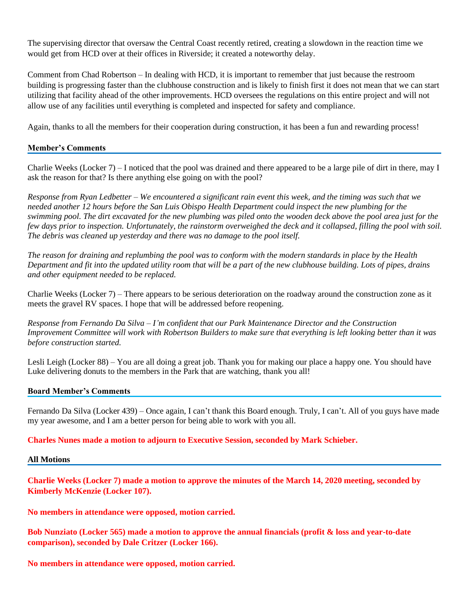The supervising director that oversaw the Central Coast recently retired, creating a slowdown in the reaction time we would get from HCD over at their offices in Riverside; it created a noteworthy delay.

Comment from Chad Robertson – In dealing with HCD, it is important to remember that just because the restroom building is progressing faster than the clubhouse construction and is likely to finish first it does not mean that we can start utilizing that facility ahead of the other improvements. HCD oversees the regulations on this entire project and will not allow use of any facilities until everything is completed and inspected for safety and compliance.

Again, thanks to all the members for their cooperation during construction, it has been a fun and rewarding process!

## **Member's Comments**

Charlie Weeks (Locker 7) – I noticed that the pool was drained and there appeared to be a large pile of dirt in there, may I ask the reason for that? Is there anything else going on with the pool?

*Response from Ryan Ledbetter – We encountered a significant rain event this week, and the timing was such that we needed another 12 hours before the San Luis Obispo Health Department could inspect the new plumbing for the swimming pool. The dirt excavated for the new plumbing was piled onto the wooden deck above the pool area just for the few days prior to inspection. Unfortunately, the rainstorm overweighed the deck and it collapsed, filling the pool with soil. The debris was cleaned up yesterday and there was no damage to the pool itself.*

*The reason for draining and replumbing the pool was to conform with the modern standards in place by the Health Department and fit into the updated utility room that will be a part of the new clubhouse building. Lots of pipes, drains and other equipment needed to be replaced.*

Charlie Weeks (Locker 7) – There appears to be serious deterioration on the roadway around the construction zone as it meets the gravel RV spaces. I hope that will be addressed before reopening.

*Response from Fernando Da Silva – I'm confident that our Park Maintenance Director and the Construction Improvement Committee will work with Robertson Builders to make sure that everything is left looking better than it was before construction started.*

Lesli Leigh (Locker 88) – You are all doing a great job. Thank you for making our place a happy one. You should have Luke delivering donuts to the members in the Park that are watching, thank you all!

## **Board Member's Comments**

Fernando Da Silva (Locker 439) – Once again, I can't thank this Board enough. Truly, I can't. All of you guys have made my year awesome, and I am a better person for being able to work with you all.

**Charles Nunes made a motion to adjourn to Executive Session, seconded by Mark Schieber.**

**All Motions**

**Charlie Weeks (Locker 7) made a motion to approve the minutes of the March 14, 2020 meeting, seconded by Kimberly McKenzie (Locker 107).**

**No members in attendance were opposed, motion carried.**

**Bob Nunziato (Locker 565) made a motion to approve the annual financials (profit & loss and year-to-date comparison), seconded by Dale Critzer (Locker 166).**

**No members in attendance were opposed, motion carried.**